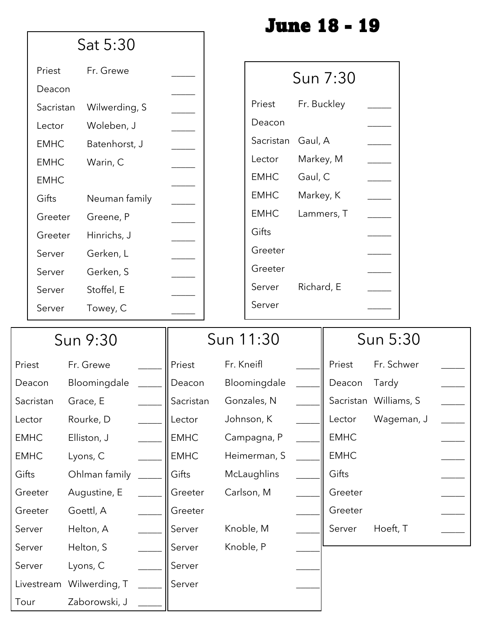|             |                          |               |              |                      | <b>June 18 - 19</b> |                       |  |
|-------------|--------------------------|---------------|--------------|----------------------|---------------------|-----------------------|--|
|             | Sat 5:30                 |               |              |                      |                     |                       |  |
| Priest      | Fr. Grewe                |               |              |                      | Sun 7:30            |                       |  |
| Deacon      |                          |               |              |                      |                     |                       |  |
| Sacristan   | Wilwerding, S            |               | Priest       |                      | Fr. Buckley         |                       |  |
| Lector      | Woleben, J               |               | Deacon       |                      |                     |                       |  |
| <b>EMHC</b> | Batenhorst, J            |               |              | Gaul, A<br>Sacristan |                     |                       |  |
| <b>EMHC</b> | Warin, C                 |               | Lector       | Markey, M            |                     |                       |  |
| <b>EMHC</b> |                          |               | <b>EMHC</b>  | Gaul, C              |                     |                       |  |
| Gifts       | Neuman family            | $\frac{1}{2}$ | <b>EMHC</b>  | Markey, K            |                     |                       |  |
| Greeter     | Greene, P                |               | <b>EMHC</b>  |                      | Lammers, T          |                       |  |
| Greeter     | Hinrichs, J              |               | Gifts        |                      |                     |                       |  |
| Server      | Gerken, L                |               | Greeter      |                      |                     |                       |  |
| Server      | Gerken, S                |               | Greeter      |                      |                     |                       |  |
| Server      | Stoffel, E               |               | Server       | Richard, E           |                     |                       |  |
| Server      | Towey, C                 |               | Server       |                      |                     |                       |  |
|             | Sun 9:30                 |               | Sun 11:30    |                      | Sun 5:30            |                       |  |
| Priest      | Fr. Grewe                | Priest        | Fr. Kneifl   |                      | Priest              | Fr. Schwer            |  |
|             |                          |               | Bloomingdale |                      |                     |                       |  |
| Deacon      | Bloomingdale             | Deacon        |              |                      | Deacon              | Tardy                 |  |
| Sacristan   | Grace, E                 | Sacristan     | Gonzales, N  |                      |                     | Sacristan Williams, S |  |
| Lector      | Rourke, D                | Lector        | Johnson, K   |                      | Lector              | Wageman, J            |  |
| <b>EMHC</b> | Elliston, J              | <b>EMHC</b>   | Campagna, P  |                      | <b>EMHC</b>         |                       |  |
| <b>EMHC</b> | Lyons, C                 | <b>EMHC</b>   | Heimerman, S |                      | <b>EMHC</b>         |                       |  |
| Gifts       | Ohlman family            | Gifts         | McLaughlins  |                      | Gifts               |                       |  |
| Greeter     | Augustine, E             | Greeter       | Carlson, M   |                      | Greeter             |                       |  |
| Greeter     | Goettl, A                | Greeter       |              |                      | Greeter             |                       |  |
| Server      | Helton, A                | Server        | Knoble, M    |                      | Server              | Hoeft, T              |  |
| Server      | Helton, S                | Server        | Knoble, P    |                      |                     |                       |  |
| Server      | Lyons, C                 | Server        |              |                      |                     |                       |  |
|             | Livestream Wilwerding, T | Server        |              |                      |                     |                       |  |
| Tour        | Zaborowski, J            |               |              |                      |                     |                       |  |